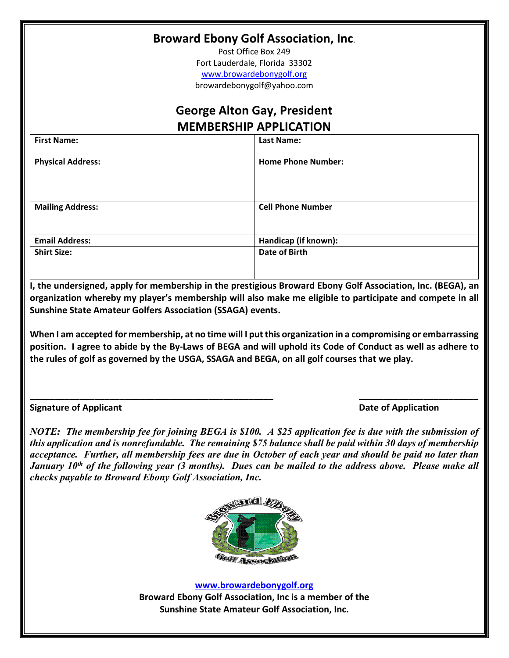## **Broward Ebony Golf Association, Inc**.

Post Office Box 249 Fort Lauderdale, Florida 33302 [www.browardebonygolf.org](http://www.browardebonygolf.org/) browardebonygolf@yahoo.com

## **George Alton Gay, President MEMBERSHIP APPLICATION**

| <b>First Name:</b>       | Last Name:                |
|--------------------------|---------------------------|
| <b>Physical Address:</b> | <b>Home Phone Number:</b> |
| <b>Mailing Address:</b>  | <b>Cell Phone Number</b>  |
| <b>Email Address:</b>    | Handicap (if known):      |
| <b>Shirt Size:</b>       | <b>Date of Birth</b>      |

**I, the undersigned, apply for membership in the prestigious Broward Ebony Golf Association, Inc. (BEGA), an organization whereby my player's membership will also make me eligible to participate and compete in all Sunshine State Amateur Golfers Association (SSAGA) events.**

**When I am accepted for membership, at no time will I put this organization in a compromising or embarrassing position. I agree to abide by the By-Laws of BEGA and will uphold its Code of Conduct as well as adhere to the rules of golf as governed by the USGA, SSAGA and BEGA, on all golf courses that we play.**

**\_\_\_\_\_\_\_\_\_\_\_\_\_\_\_\_\_\_\_\_\_\_\_\_\_\_\_\_\_\_\_\_\_\_\_\_\_\_\_\_\_\_\_\_\_\_\_\_\_ \_\_\_\_\_\_\_\_\_\_\_\_\_\_\_\_\_\_\_\_\_\_\_\_**

**Signature of Applicant Date of Application**

*NOTE: The membership fee for joining BEGA is \$100. A \$25 application fee is due with the submission of this application and is nonrefundable. The remaining \$75 balance shall be paid within 30 days of membership acceptance. Further, all membership fees are due in October of each year and should be paid no later than January 10th of the following year (3 months). Dues can be mailed to the address above. Please make all checks payable to Broward Ebony Golf Association, Inc.*



**[www.browardebonygolf.org](http://www.browardebonygolf.org/)**

**Broward Ebony Golf Association, Inc is a member of the Sunshine State Amateur Golf Association, Inc.**